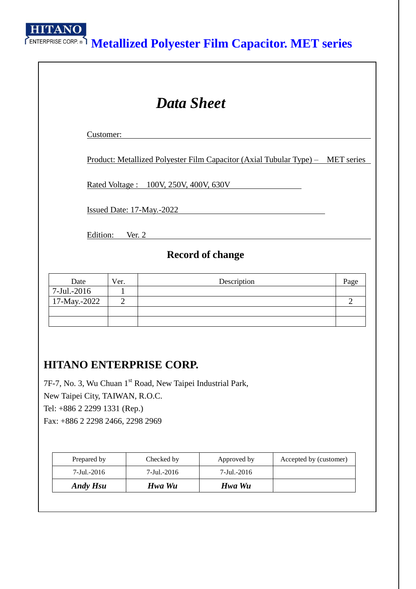**HITANO** 

# **Metallized Polyester Film Capacitor. MET series**

| <b>Data Sheet</b>           |                                |                                                                                       |                |  |  |  |  |  |
|-----------------------------|--------------------------------|---------------------------------------------------------------------------------------|----------------|--|--|--|--|--|
| Customer:                   |                                |                                                                                       |                |  |  |  |  |  |
|                             |                                | <u>Product: Metallized Polyester Film Capacitor (Axial Tubular Type) – MET series</u> |                |  |  |  |  |  |
|                             |                                | <u>Rated Voltage: 100V, 250V, 400V, 630V</u>                                          |                |  |  |  |  |  |
|                             |                                | <b>Issued Date: 17-May.-2022</b>                                                      |                |  |  |  |  |  |
|                             | Edition: Ver. 2                |                                                                                       |                |  |  |  |  |  |
|                             |                                | <b>Record of change</b>                                                               |                |  |  |  |  |  |
| Date                        | Ver.                           | Description                                                                           | Page           |  |  |  |  |  |
| 7-Jul.-2016<br>17-May.-2022 | $\mathbf{1}$<br>$\overline{2}$ |                                                                                       | $\overline{2}$ |  |  |  |  |  |
|                             |                                |                                                                                       |                |  |  |  |  |  |

## **HITANO ENTERPRISE CORP.**

7F-7, No. 3, Wu Chuan 1<sup>st</sup> Road, New Taipei Industrial Park, New Taipei City, TAIWAN, R.O.C. Tel: +886 2 2299 1331 (Rep.) Fax: +886 2 2298 2466, 2298 2969

| Prepared by     | Checked by  | Approved by | Accepted by (customer) |
|-----------------|-------------|-------------|------------------------|
| 7-Jul.-2016     | 7-Jul.-2016 | 7-Jul.-2016 |                        |
| <b>Andy Hsu</b> | Hwa Wu      | Hwa Wu      |                        |